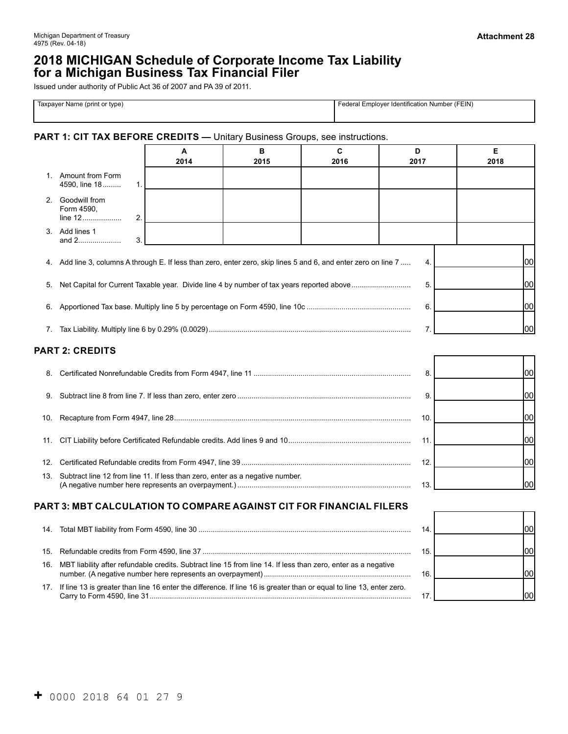┑

# **2018 MICHIGAN Schedule of Corporate Income Tax Liability for a Michigan Business Tax Financial Filer**

Issued under authority of Public Act 36 of 2007 and PA 39 of 2011.

| Name<br>t or tvpe<br>↑ <i>I</i> orint ບ່<br><b>Laxnaver</b><br>$V^{\mu,\ldots,\mu}$ | I Number (FEIN)<br>Employer Identification<br>the contract of the contract of the contract of |
|-------------------------------------------------------------------------------------|-----------------------------------------------------------------------------------------------|
|                                                                                     |                                                                                               |

#### **PART 1: CIT TAX BEFORE CREDITS —** Unitary Business Groups, see instructions.

|     |                                                                                                              | А<br>2014                                                  | B<br>2015 | C<br>2016 | D<br>2017      | Е<br>2018 |
|-----|--------------------------------------------------------------------------------------------------------------|------------------------------------------------------------|-----------|-----------|----------------|-----------|
|     | 1. Amount from Form<br>4590, line 18<br>1.                                                                   |                                                            |           |           |                |           |
| 2.  | Goodwill from<br>Form 4590,<br>2.                                                                            |                                                            |           |           |                |           |
| 3.  | Add lines 1<br>3.<br>and 2                                                                                   |                                                            |           |           |                |           |
| 4.  | Add line 3, columns A through E. If less than zero, enter zero, skip lines 5 and 6, and enter zero on line 7 |                                                            |           |           | 4.             | lool      |
| 5.  |                                                                                                              |                                                            |           |           | 5.             | lool      |
| 6.  |                                                                                                              |                                                            |           |           | 6.             | lool      |
|     |                                                                                                              |                                                            |           |           | $\overline{7}$ | lool      |
|     | <b>PART 2: CREDITS</b>                                                                                       |                                                            |           |           |                |           |
| 8.  |                                                                                                              |                                                            |           |           | 8.             | lool      |
| 9.  |                                                                                                              |                                                            |           |           | 9.             | lool      |
| 10. |                                                                                                              |                                                            |           |           | 10.            | lool      |
| 11. |                                                                                                              |                                                            |           |           | 11.            | lool      |
| 12. |                                                                                                              |                                                            |           |           | 12.            | lool      |
| 13. | Subtract line 12 from line 11. If less than zero, enter as a negative number.                                |                                                            |           |           | 13.            | lool      |
|     |                                                                                                              | DT CALCULATION TO COMBADE ACAINGT CIT FOD FINANCIAL FILEDS |           |           |                |           |

## **PART 3: MBT CALCULATION TO COMPARE AGAINST CIT FOR FINANCIAL FILERS**

|                                                                                                                          | 14  |  |
|--------------------------------------------------------------------------------------------------------------------------|-----|--|
|                                                                                                                          | 15. |  |
| 16. MBT liability after refundable credits. Subtract line 15 from line 14. If less than zero, enter as a negative        | 16. |  |
| 17. If line 13 is greater than line 16 enter the difference. If line 16 is greater than or equal to line 13, enter zero. |     |  |